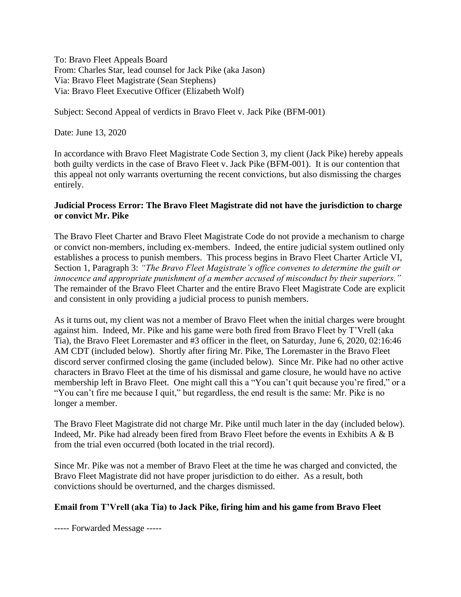To: Bravo Fleet Appeals Board From: Charles Star, lead counsel for Jack Pike (aka Jason) Via: Bravo Fleet Magistrate (Sean Stephens) Via: Bravo Fleet Executive Officer (Elizabeth Wolf)

Subject: Second Appeal of verdicts in Bravo Fleet v. Jack Pike (BFM-001)

Date: June 13, 2020

In accordance with Bravo Fleet Magistrate Code Section 3, my client (Jack Pike) hereby appeals both guilty verdicts in the case of Bravo Fleet v. Jack Pike (BFM-001). It is our contention that this appeal not only warrants overturning the recent convictions, but also dismissing the charges entirely.

#### **Judicial Process Error: The Bravo Fleet Magistrate did not have the jurisdiction to charge or convict Mr. Pike**

The Bravo Fleet Charter and Bravo Fleet Magistrate Code do not provide a mechanism to charge or convict non-members, including ex-members. Indeed, the entire judicial system outlined only establishes a process to punish members. This process begins in Bravo Fleet Charter Article VI, Section 1, Paragraph 3: *"The Bravo Fleet Magistrate's office convenes to determine the guilt or innocence and appropriate punishment of a member accused of misconduct by their superiors."* The remainder of the Bravo Fleet Charter and the entire Bravo Fleet Magistrate Code are explicit and consistent in only providing a judicial process to punish members.

As it turns out, my client was not a member of Bravo Fleet when the initial charges were brought against him. Indeed, Mr. Pike and his game were both fired from Bravo Fleet by T'Vrell (aka Tia), the Bravo Fleet Loremaster and #3 officer in the fleet, on Saturday, June 6, 2020, 02:16:46 AM CDT (included below). Shortly after firing Mr. Pike, The Loremaster in the Bravo Fleet discord server confirmed closing the game (included below). Since Mr. Pike had no other active characters in Bravo Fleet at the time of his dismissal and game closure, he would have no active membership left in Bravo Fleet. One might call this a "You can't quit because you're fired," or a "You can't fire me because I quit," but regardless, the end result is the same: Mr. Pike is no longer a member.

The Bravo Fleet Magistrate did not charge Mr. Pike until much later in the day (included below). Indeed, Mr. Pike had already been fired from Bravo Fleet before the events in Exhibits A & B from the trial even occurred (both located in the trial record).

Since Mr. Pike was not a member of Bravo Fleet at the time he was charged and convicted, the Bravo Fleet Magistrate did not have proper jurisdiction to do either. As a result, both convictions should be overturned, and the charges dismissed.

#### **Email from T'Vrell (aka Tia) to Jack Pike, firing him and his game from Bravo Fleet**

----- Forwarded Message -----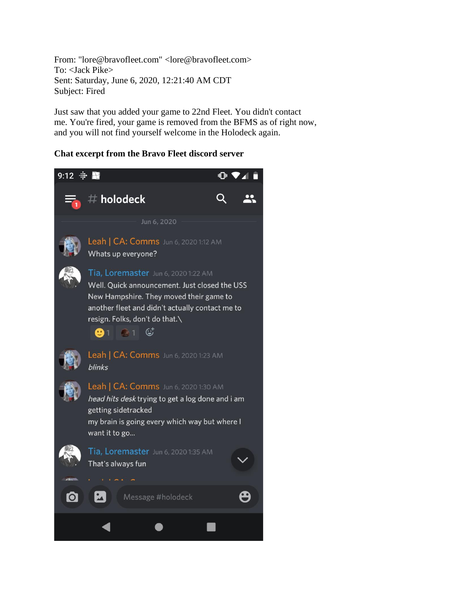From: "lore@bravofleet.com" <lore@bravofleet.com> To: <Jack Pike> Sent: Saturday, June 6, 2020, 12:21:40 AM CDT Subject: Fired

Just saw that you added your game to 22nd Fleet. You didn't contact me. You're fired, your game is removed from the BFMS as of right now, and you will not find yourself welcome in the Holodeck again.

## **Chat excerpt from the Bravo Fleet discord server**

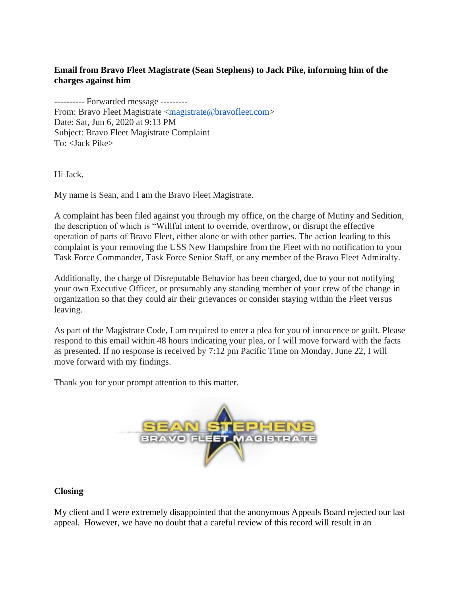# **Email from Bravo Fleet Magistrate (Sean Stephens) to Jack Pike, informing him of the charges against him**

---------- Forwarded message --------- From: Bravo Fleet Magistrate [<magistrate@bravofleet.com>](mailto:magistrate@bravofleet.com) Date: Sat, Jun 6, 2020 at 9:13 PM Subject: Bravo Fleet Magistrate Complaint To: <Jack Pike>

Hi Jack,

My name is Sean, and I am the Bravo Fleet Magistrate.

A complaint has been filed against you through my office, on the charge of Mutiny and Sedition, the description of which is "Willful intent to override, overthrow, or disrupt the effective operation of parts of Bravo Fleet, either alone or with other parties. The action leading to this complaint is your removing the USS New Hampshire from the Fleet with no notification to your Task Force Commander, Task Force Senior Staff, or any member of the Bravo Fleet Admiralty.

Additionally, the charge of Disreputable Behavior has been charged, due to your not notifying your own Executive Officer, or presumably any standing member of your crew of the change in organization so that they could air their grievances or consider staying within the Fleet versus leaving.

As part of the Magistrate Code, I am required to enter a plea for you of innocence or guilt. Please respond to this email within 48 hours indicating your plea, or I will move forward with the facts as presented. If no response is received by 7:12 pm Pacific Time on Monday, June 22, I will move forward with my findings.

Thank you for your prompt attention to this matter.



## **Closing**

My client and I were extremely disappointed that the anonymous Appeals Board rejected our last appeal. However, we have no doubt that a careful review of this record will result in an